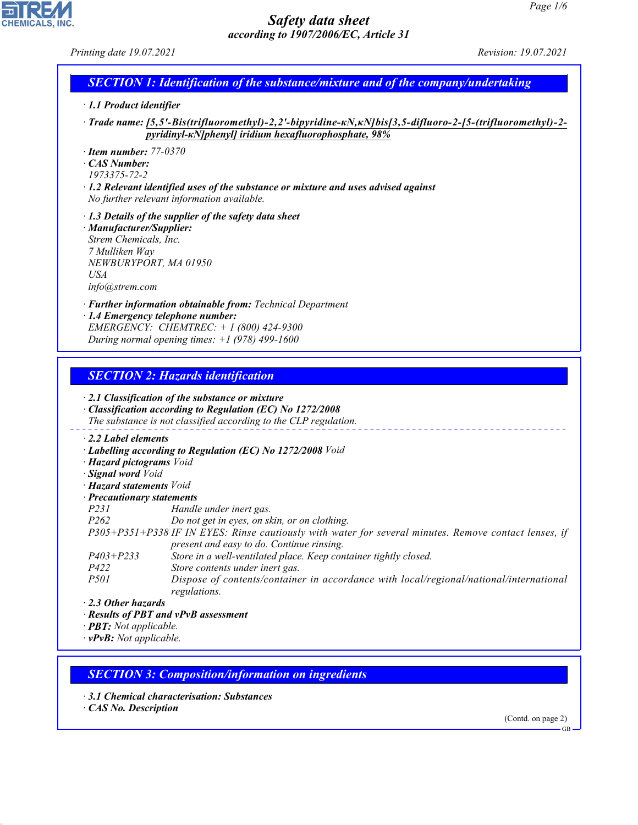# **CHEMICALS, INC.**

# *Safety data sheet according to 1907/2006/EC, Article 31*

*Printing date 19.07.2021 Revision: 19.07.2021*

| $\mid$ SECTION 1: Identification of the substance/mixture and of the company/undertaking $\mid$ |  |
|-------------------------------------------------------------------------------------------------|--|
| . 1 1 Droduct identifier                                                                        |  |

- *· 1.1 Product identifier*
- -Trade name: [5,5'-Bis(trifluoromethyl)-2,2'-bipyridine-kN, kN[bis[3,5-difluoro-2-[5-(trifluoromethyl)-2*pyridinyl-κN] phenyl] iridium hexafluorophosphate, 98%*
- *· Item number: 77-0370*
- *· CAS Number:*
- *1973375-72-2*
- *· 1.2 Relevant identified uses of the substance or mixture and uses advised against No further relevant information available.*
- *· 1.3 Details of the supplier of the safety data sheet*
- *· Manufacturer/Supplier: Strem Chemicals, Inc. 7 Mulliken Way NEWBURYPORT, MA 01950 USA info@strem.com*
- *· Further information obtainable from: Technical Department*
- *· 1.4 Emergency telephone number: EMERGENCY: CHEMTREC: + 1 (800) 424-9300 During normal opening times: +1 (978) 499-1600*

# *SECTION 2: Hazards identification*

|                                                                              | $\cdot$ 2.1 Classification of the substance or mixture<br>Classification according to Regulation (EC) No 1272/2008<br>The substance is not classified according to the CLP regulation. |
|------------------------------------------------------------------------------|----------------------------------------------------------------------------------------------------------------------------------------------------------------------------------------|
| $\cdot$ 2.2 Label elements<br>· Hazard pictograms Void<br>· Signal word Void | · Labelling according to Regulation (EC) No 1272/2008 Void                                                                                                                             |
| · <b>Hazard statements</b> Void                                              |                                                                                                                                                                                        |
| · Precautionary statements                                                   |                                                                                                                                                                                        |
| <i>P231</i>                                                                  | Handle under inert gas.                                                                                                                                                                |
| <i>P262</i>                                                                  | Do not get in eyes, on skin, or on clothing.                                                                                                                                           |
|                                                                              | P305+P351+P338 IF IN EYES: Rinse cautiously with water for several minutes. Remove contact lenses, if                                                                                  |
|                                                                              | present and easy to do. Continue rinsing.                                                                                                                                              |
| $P403 + P233$                                                                | Store in a well-ventilated place. Keep container tightly closed.                                                                                                                       |
| <i>P422</i>                                                                  | Store contents under inert gas.                                                                                                                                                        |
| <i>P501</i>                                                                  | Dispose of contents/container in accordance with local/regional/national/international<br>regulations.                                                                                 |
| $\cdot$ 2.3 Other hazards                                                    |                                                                                                                                                                                        |
|                                                                              | $\cdot$ Results of PBT and vPvB assessment                                                                                                                                             |
| $\cdot$ PRT $\cdot$ Not annlicable                                           |                                                                                                                                                                                        |

- *· PBT: Not applicable.*
- *· vPvB: Not applicable.*

*SECTION 3: Composition/information on ingredients*

- *· 3.1 Chemical characterisation: Substances*
- *· CAS No. Description*

44.1.1

(Contd. on page 2)

GB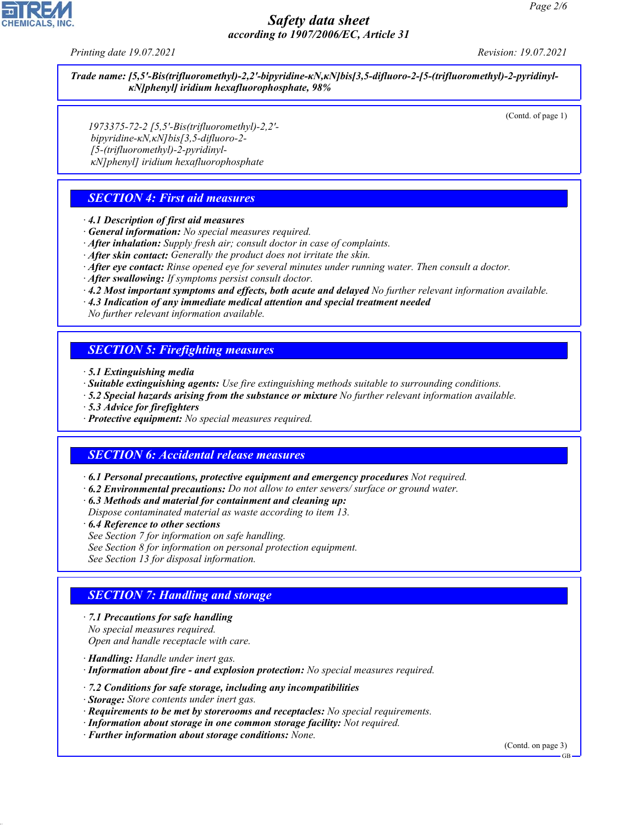

## *Safety data sheet according to 1907/2006/EC, Article 31*

*Printing date 19.07.2021 Revision: 19.07.2021*

Trade name: [5,5'-Bis(trifluoromethyl)-2,2'-bipyridine-kN,kN[bis[3,5-difluoro-2-[5-(trifluoromethyl)-2-pyridinyl*κN] phenyl] iridium hexafluorophosphate, 98%*

(Contd. of page 1)

*1973375-72-2 [5,5'-Bis(trifluoromethyl)-2,2' bipyridine-κN,κN]bis[3,5-difluoro-2- [5-(trifluoromethyl)-2-pyridinylκN]phenyl] iridium hexafluorophosphate*

# *SECTION 4: First aid measures*

*· 4.1 Description of first aid measures*

*· General information: No special measures required.*

*· After inhalation: Supply fresh air; consult doctor in case of complaints.*

- *· After skin contact: Generally the product does not irritate the skin.*
- *· After eye contact: Rinse opened eye for several minutes under running water. Then consult a doctor.*
- *· After swallowing: If symptoms persist consult doctor.*
- *· 4.2 Most important symptoms and effects, both acute and delayed No further relevant information available.*
- *· 4.3 Indication of any immediate medical attention and special treatment needed*

*No further relevant information available.*

#### *SECTION 5: Firefighting measures*

- *· 5.1 Extinguishing media*
- *· Suitable extinguishing agents: Use fire extinguishing methods suitable to surrounding conditions.*
- *· 5.2 Special hazards arising from the substance or mixture No further relevant information available.*
- *· 5.3 Advice for firefighters*
- *· Protective equipment: No special measures required.*

#### *SECTION 6: Accidental release measures*

- *· 6.1 Personal precautions, protective equipment and emergency procedures Not required.*
- *· 6.2 Environmental precautions: Do not allow to enter sewers/ surface or ground water.*
- *· 6.3 Methods and material for containment and cleaning up:*
- *Dispose contaminated material as waste according to item 13.*
- *· 6.4 Reference to other sections*
- *See Section 7 for information on safe handling.*
- *See Section 8 for information on personal protection equipment.*

*See Section 13 for disposal information.*

## *SECTION 7: Handling and storage*

- *· 7.1 Precautions for safe handling No special measures required. Open and handle receptacle with care.*
- *· Handling: Handle under inert gas.*

44.1.1

- *· Information about fire and explosion protection: No special measures required.*
- *· 7.2 Conditions for safe storage, including any incompatibilities*
- *· Storage: Store contents under inert gas.*
- *· Requirements to be met by storerooms and receptacles: No special requirements.*
- *· Information about storage in one common storage facility: Not required.*
- *· Further information about storage conditions: None.*

(Contd. on page 3) GB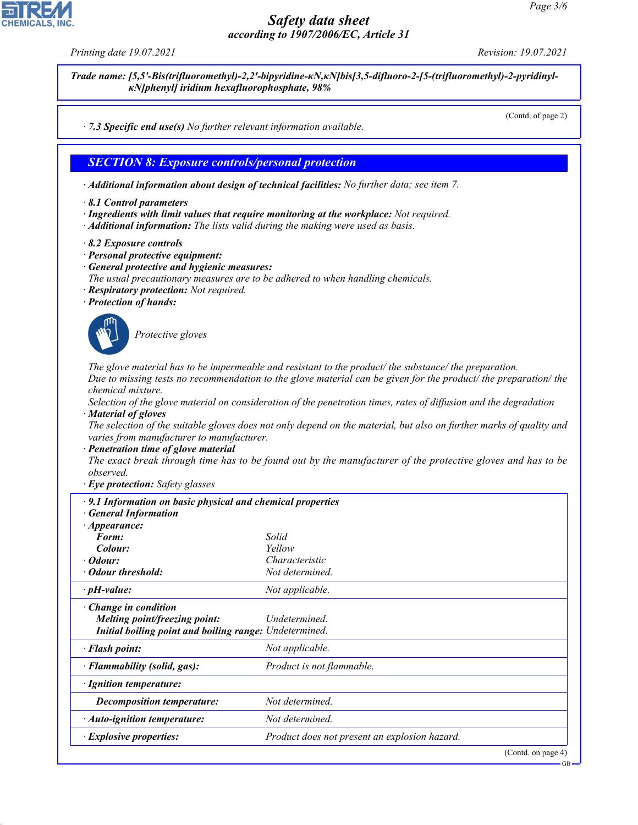#### *Safety data sheet according to 1907/2006/EC, Article 31*



Trade name: [5,5'-Bis(trifluoromethyl)-2,2'-bipyridine-kN,kN[bis[3,5-difluoro-2-[5-(trifluoromethyl)-2-pyridinyl*κN] phenyl] iridium hexafluorophosphate, 98%*

(Contd. of page 2)

*· 7.3 Specific end use(s) No further relevant information available.*

#### *SECTION 8: Exposure controls/personal protection*

*· Additional information about design of technical facilities: No further data; see item 7.*

- *· 8.1 Control parameters*
- *· Ingredients with limit values that require monitoring at the workplace: Not required.*
- *· Additional information: The lists valid during the making were used as basis.*
- *· 8.2 Exposure controls*
- *· Personal protective equipment:*
- *· General protective and hygienic measures:*
- *The usual precautionary measures are to be adhered to when handling chemicals.*
- *· Respiratory protection: Not required.*
- *· Protection of hands:*



44.1.1

\_S*Protective gloves*

*The glove material has to be impermeable and resistant to the product/ the substance/ the preparation. Due to missing tests no recommendation to the glove material can be given for the product/ the preparation/ the chemical mixture.*

*Selection of the glove material on consideration of the penetration times, rates of diffusion and the degradation · Material of gloves*

*The selection of the suitable gloves does not only depend on the material, but also on further marks of quality and varies from manufacturer to manufacturer.*

*· Penetration time of glove material*

*The exact break through time has to be found out by the manufacturer of the protective gloves and has to be observed.*

*· Eye protection: Safety glasses*

| $\cdot$ 9.1 Information on basic physical and chemical properties<br><b>General Information</b>                        |                                               |
|------------------------------------------------------------------------------------------------------------------------|-----------------------------------------------|
| $\cdot$ Appearance:                                                                                                    |                                               |
| Form:                                                                                                                  | Solid                                         |
| Colour:                                                                                                                | Yellow                                        |
| · Odour:                                                                                                               | Characteristic                                |
| • Odour threshold:                                                                                                     | Not determined.                               |
| $\cdot$ pH-value:                                                                                                      | Not applicable.                               |
| $\cdot$ Change in condition<br>Melting point/freezing point:<br>Initial boiling point and boiling range: Undetermined. | Undetermined.                                 |
| · Flash point:                                                                                                         | Not applicable.                               |
| · Flammability (solid, gas):                                                                                           | Product is not flammable.                     |
| · Ignition temperature:                                                                                                |                                               |
| Decomposition temperature:                                                                                             | Not determined.                               |
| · Auto-ignition temperature:                                                                                           | Not determined.                               |
| $\cdot$ Explosive properties:                                                                                          | Product does not present an explosion hazard. |
|                                                                                                                        | (Contd. on page 4)                            |

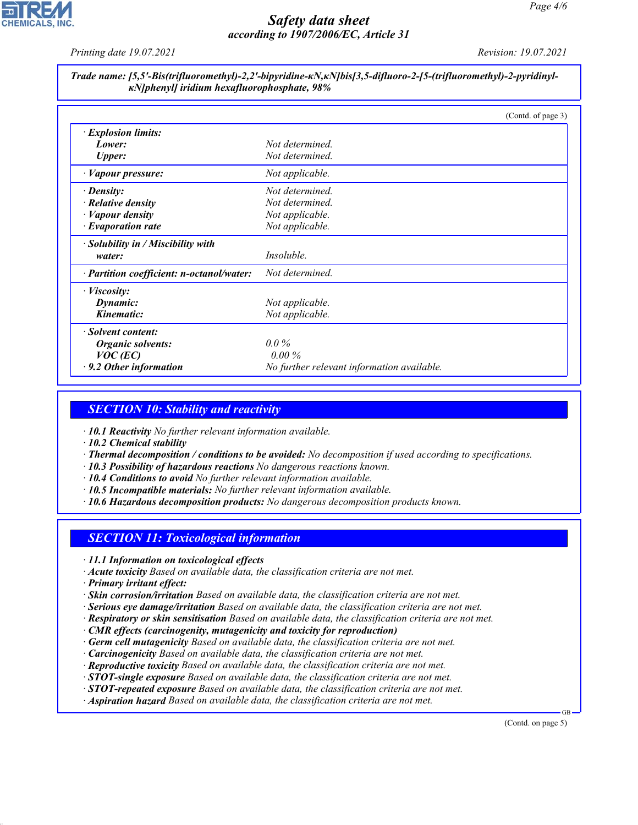

#### *Safety data sheet according to 1907/2006/EC, Article 31*

*Printing date 19.07.2021 Revision: 19.07.2021*

#### Trade name: [5,5'-Bis(trifluoromethyl)-2,2'-bipyridine-kN,kN[bis[3,5-difluoro-2-[5-(trifluoromethyl)-2-pyridinyl*κN] phenyl] iridium hexafluorophosphate, 98%*

|                                                                                                           | (Contd. of page 3)                                                       |
|-----------------------------------------------------------------------------------------------------------|--------------------------------------------------------------------------|
| $\cdot$ Explosion limits:<br>Lower:<br><b>Upper:</b>                                                      | Not determined.<br>Not determined.                                       |
| $\cdot$ <i>Vapour pressure:</i>                                                                           | Not applicable.                                                          |
| $\cdot$ Density:<br>$\cdot$ Relative density<br>$\cdot$ <i>Vapour density</i><br>$\cdot$ Evaporation rate | Not determined.<br>Not determined.<br>Not applicable.<br>Not applicable. |
| $\cdot$ Solubility in / Miscibility with<br>water:                                                        | <i>Insoluble.</i>                                                        |
| · Partition coefficient: n-octanol/water:                                                                 | Not determined.                                                          |
| $\cdot$ Viscosity:<br>Dynamic:<br>Kinematic:                                                              | Not applicable.<br>Not applicable.                                       |
| · Solvent content:<br><b>Organic solvents:</b><br>$VOC$ (EC)<br>$\cdot$ 9.2 Other information             | $0.0\%$<br>$0.00\%$<br>No further relevant information available.        |

### *SECTION 10: Stability and reactivity*

*· 10.1 Reactivity No further relevant information available.*

*· 10.2 Chemical stability*

- *· Thermal decomposition / conditions to be avoided: No decomposition if used according to specifications.*
- *· 10.3 Possibility of hazardous reactions No dangerous reactions known.*
- *· 10.4 Conditions to avoid No further relevant information available.*
- *· 10.5 Incompatible materials: No further relevant information available.*
- *· 10.6 Hazardous decomposition products: No dangerous decomposition products known.*

## *SECTION 11: Toxicological information*

- *· 11.1 Information on toxicological effects*
- *· Acute toxicity Based on available data, the classification criteria are not met.*
- *· Primary irritant effect:*

44.1.1

- *· Skin corrosion/irritation Based on available data, the classification criteria are not met.*
- *· Serious eye damage/irritation Based on available data, the classification criteria are not met.*
- *· Respiratory or skin sensitisation Based on available data, the classification criteria are not met.*
- *· CMR effects (carcinogenity, mutagenicity and toxicity for reproduction)*
- *· Germ cell mutagenicity Based on available data, the classification criteria are not met.*
- *· Carcinogenicity Based on available data, the classification criteria are not met.*
- *· Reproductive toxicity Based on available data, the classification criteria are not met.*
- *· STOT-single exposure Based on available data, the classification criteria are not met.*
- *· STOT-repeated exposure Based on available data, the classification criteria are not met.*
- *· Aspiration hazard Based on available data, the classification criteria are not met.*

(Contd. on page 5)

GB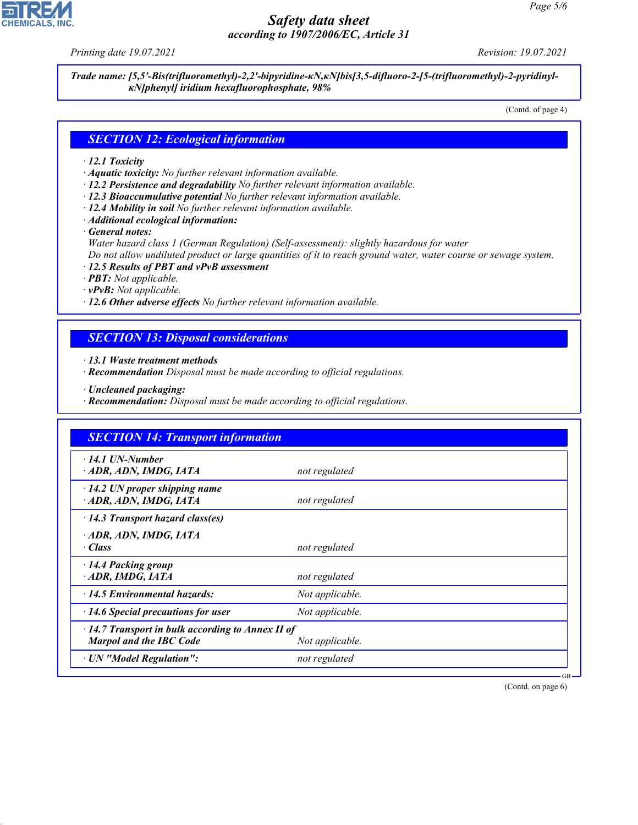44.1.1

# *Safety data sheet according to 1907/2006/EC, Article 31*

*Printing date 19.07.2021 Revision: 19.07.2021*

Trade name: [5,5'-Bis(trifluoromethyl)-2,2'-bipyridine-kN,kN[bis[3,5-difluoro-2-[5-(trifluoromethyl)-2-pyridinyl*κN] phenyl] iridium hexafluorophosphate, 98%*

(Contd. of page 4)

#### *SECTION 12: Ecological information*

#### *· 12.1 Toxicity*

- *· Aquatic toxicity: No further relevant information available.*
- *· 12.2 Persistence and degradability No further relevant information available.*
- *· 12.3 Bioaccumulative potential No further relevant information available.*
- *· 12.4 Mobility in soil No further relevant information available.*
- *· Additional ecological information:*
- *· General notes:*
- *Water hazard class 1 (German Regulation) (Self-assessment): slightly hazardous for water*

*Do not allow undiluted product or large quantities of it to reach ground water, water course or sewage system.*

- *· 12.5 Results of PBT and vPvB assessment*
- *· PBT: Not applicable.*
- *· vPvB: Not applicable.*
- *· 12.6 Other adverse effects No further relevant information available.*

#### *SECTION 13: Disposal considerations*

*· 13.1 Waste treatment methods*

- *· Recommendation Disposal must be made according to official regulations.*
- *· Uncleaned packaging:*
- *· Recommendation: Disposal must be made according to official regulations.*

| <b>SECTION 14: Transport information</b>                                                  |                 |  |
|-------------------------------------------------------------------------------------------|-----------------|--|
| $\cdot$ 14.1 UN-Number<br>ADR, ADN, IMDG, IATA                                            | not regulated   |  |
| $\cdot$ 14.2 UN proper shipping name<br>ADR, ADN, IMDG, IATA                              | not regulated   |  |
| $\cdot$ 14.3 Transport hazard class(es)                                                   |                 |  |
| ADR, ADN, IMDG, IATA<br>· Class                                                           | not regulated   |  |
| 14.4 Packing group<br>ADR, IMDG, IATA                                                     | not regulated   |  |
| $\cdot$ 14.5 Environmental hazards:                                                       | Not applicable. |  |
| $\cdot$ 14.6 Special precautions for user                                                 | Not applicable. |  |
| $\cdot$ 14.7 Transport in bulk according to Annex II of<br><b>Marpol and the IBC Code</b> | Not applicable. |  |
| · UN "Model Regulation":                                                                  | not regulated   |  |

(Contd. on page 6)

GB